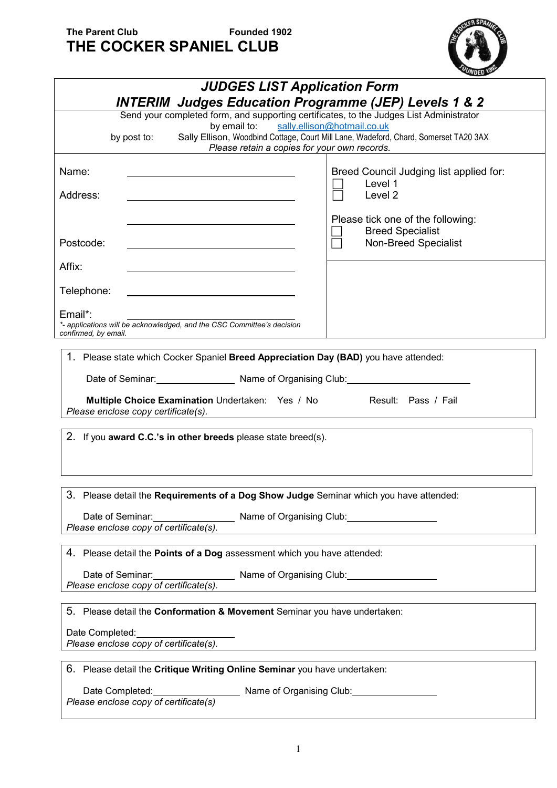## **The Parent Club Founded 1902 THE COCKER SPANIEL CLUB**



| <b>JUDGES LIST Application Form</b>                                                                                                        |                                                                                      |  |  |  |  |  |  |
|--------------------------------------------------------------------------------------------------------------------------------------------|--------------------------------------------------------------------------------------|--|--|--|--|--|--|
| <b>INTERIM Judges Education Programme (JEP) Levels 1 &amp; 2</b>                                                                           |                                                                                      |  |  |  |  |  |  |
| Send your completed form, and supporting certificates, to the Judges List Administrator<br>by email to: sally.ellison@hotmail.co.uk        |                                                                                      |  |  |  |  |  |  |
| by post to:<br>Please retain a copies for your own records.                                                                                | Sally Ellison, Woodbind Cottage, Court Mill Lane, Wadeford, Chard, Somerset TA20 3AX |  |  |  |  |  |  |
| Name:                                                                                                                                      | Breed Council Judging list applied for:                                              |  |  |  |  |  |  |
| Address:                                                                                                                                   | Level 1<br>Level <sub>2</sub>                                                        |  |  |  |  |  |  |
|                                                                                                                                            | Please tick one of the following:<br><b>Breed Specialist</b>                         |  |  |  |  |  |  |
| Postcode:                                                                                                                                  | Non-Breed Specialist                                                                 |  |  |  |  |  |  |
| Affix:                                                                                                                                     |                                                                                      |  |  |  |  |  |  |
| Telephone:                                                                                                                                 |                                                                                      |  |  |  |  |  |  |
| Email*:<br>*- applications will be acknowledged, and the CSC Committee's decision<br>confirmed, by email.                                  |                                                                                      |  |  |  |  |  |  |
|                                                                                                                                            |                                                                                      |  |  |  |  |  |  |
| 1. Please state which Cocker Spaniel Breed Appreciation Day (BAD) you have attended:                                                       |                                                                                      |  |  |  |  |  |  |
| Date of Seminar: Name of Organising Club: Name of Organising Club:                                                                         |                                                                                      |  |  |  |  |  |  |
| <b>Multiple Choice Examination</b> Undertaken: Yes / No Result: Pass / Fail<br>Please enclose copy certificate(s).                         |                                                                                      |  |  |  |  |  |  |
| 2. If you award C.C.'s in other breeds please state breed(s).                                                                              |                                                                                      |  |  |  |  |  |  |
|                                                                                                                                            |                                                                                      |  |  |  |  |  |  |
|                                                                                                                                            |                                                                                      |  |  |  |  |  |  |
| 3. Please detail the Requirements of a Dog Show Judge Seminar which you have attended:                                                     |                                                                                      |  |  |  |  |  |  |
| Date of Seminar: Name of Organising Club: Date of Seminar:<br>Please enclose copy of certificate(s).                                       |                                                                                      |  |  |  |  |  |  |
|                                                                                                                                            |                                                                                      |  |  |  |  |  |  |
| 4. Please detail the Points of a Dog assessment which you have attended:                                                                   |                                                                                      |  |  |  |  |  |  |
| Date of Seminar:<br>Please enclose copy of certificate(s). Name of Organising Club:<br>Name of Organising Club:                            |                                                                                      |  |  |  |  |  |  |
|                                                                                                                                            |                                                                                      |  |  |  |  |  |  |
| 5. Please detail the <b>Conformation &amp; Movement</b> Seminar you have undertaken:                                                       |                                                                                      |  |  |  |  |  |  |
| Date Completed: Date Completed:<br>Please enclose copy of certificate(s).                                                                  |                                                                                      |  |  |  |  |  |  |
| 6. Please detail the Critique Writing Online Seminar you have undertaken:                                                                  |                                                                                      |  |  |  |  |  |  |
| Date Completed: Date Completed: Date Completed: Details and Displace of Organising Club: Details and Please enclose copy of certificate(s) |                                                                                      |  |  |  |  |  |  |
|                                                                                                                                            |                                                                                      |  |  |  |  |  |  |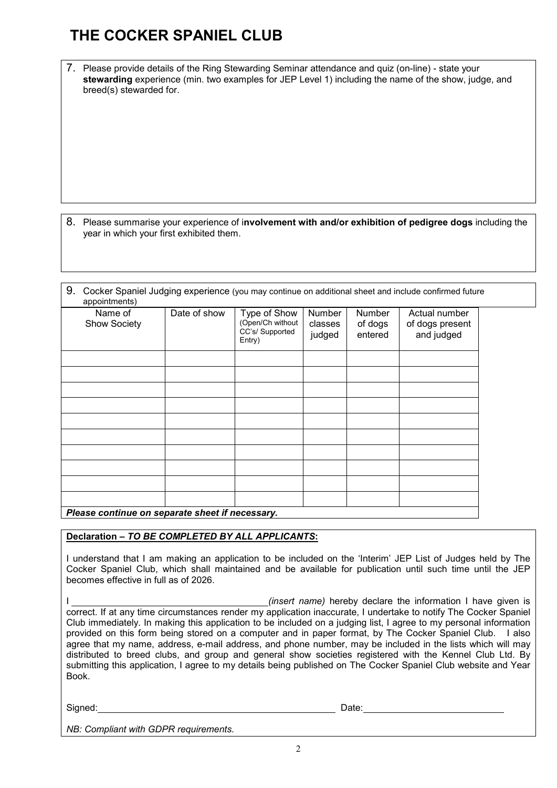## **THE COCKER SPANIEL CLUB**

7. Please provide details of the Ring Stewarding Seminar attendance and quiz (on-line) - state your **stewarding** experience (min. two examples for JEP Level 1) including the name of the show, judge, and breed(s) stewarded for.

8. Please summarise your experience of i**nvolvement with and/or exhibition of pedigree dogs** including the year in which your first exhibited them.

| 9. | Cocker Spaniel Judging experience (you may continue on additional sheet and include confirmed future<br>appointments) |              |                                                              |                                    |                              |                                                |  |  |  |  |
|----|-----------------------------------------------------------------------------------------------------------------------|--------------|--------------------------------------------------------------|------------------------------------|------------------------------|------------------------------------------------|--|--|--|--|
|    | Name of<br><b>Show Society</b>                                                                                        | Date of show | Type of Show<br>(Open/Ch without<br>CC's/Supported<br>Entry) | <b>Number</b><br>classes<br>judged | Number<br>of dogs<br>entered | Actual number<br>of dogs present<br>and judged |  |  |  |  |
|    |                                                                                                                       |              |                                                              |                                    |                              |                                                |  |  |  |  |
|    |                                                                                                                       |              |                                                              |                                    |                              |                                                |  |  |  |  |

| Please continue on separate sheet if necessary. |  |  |  |  |  |  |  |  |  |
|-------------------------------------------------|--|--|--|--|--|--|--|--|--|

#### **Declaration –** *TO BE COMPLETED BY ALL APPLICANTS***:**

I understand that I am making an application to be included on the 'Interim' JEP List of Judges held by The Cocker Spaniel Club, which shall maintained and be available for publication until such time until the JEP becomes effective in full as of 2026.

*(insert name)* hereby declare the information I have given is correct. If at any time circumstances render my application inaccurate, I undertake to notify The Cocker Spaniel Club immediately. In making this application to be included on a judging list, I agree to my personal information provided on this form being stored on a computer and in paper format, by The Cocker Spaniel Club. I also agree that my name, address, e-mail address, and phone number, may be included in the lists which will may distributed to breed clubs, and group and general show societies registered with the Kennel Club Ltd. By submitting this application, I agree to my details being published on The Cocker Spaniel Club website and Year Book.

Signed: Date:

*NB: Compliant with GDPR requirements.*